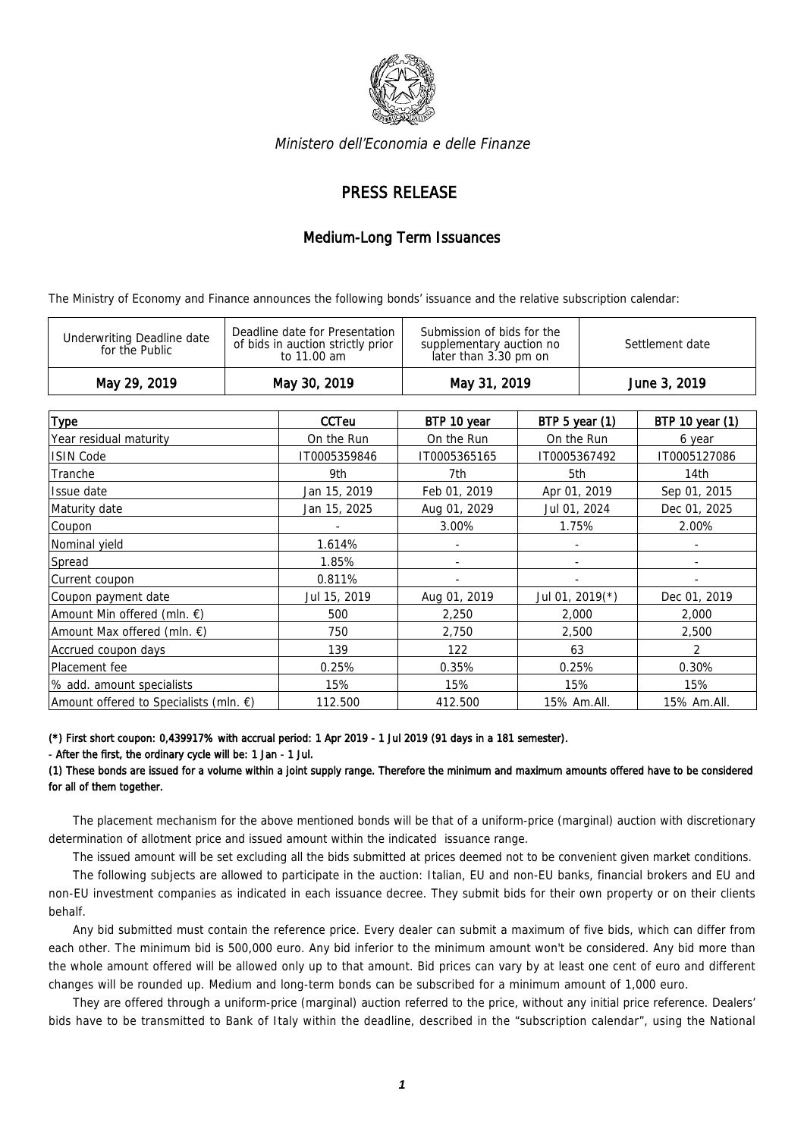

Ministero dell'Economia e delle Finanze

## PRESS RELEASE

## Medium-Long Term Issuances

The Ministry of Economy and Finance announces the following bonds' issuance and the relative subscription calendar:

| <b>Type</b>                                      | <b>CCTeu</b> | BTP 10 year  | BTP 5 year $(1)$   | BTP 10 year (1)          |
|--------------------------------------------------|--------------|--------------|--------------------|--------------------------|
| Year residual maturity                           | On the Run   | On the Run   | On the Run         | 6 year                   |
| <b>ISIN Code</b>                                 | IT0005359846 | IT0005365165 | IT0005367492       | IT0005127086             |
| Tranche                                          | 9th          | 7th          | 5th                | 14th                     |
| Issue date                                       | Jan 15, 2019 | Feb 01, 2019 | Apr 01, 2019       | Sep 01, 2015             |
| Maturity date                                    | Jan 15, 2025 | Aug 01, 2029 | Jul 01, 2024       | Dec 01, 2025             |
| Coupon                                           |              | 3.00%        | 1.75%              | 2.00%                    |
| Nominal yield                                    | 1.614%       | ٠            |                    | ۰                        |
| Spread                                           | 1.85%        | ٠            |                    | $\overline{\phantom{a}}$ |
| Current coupon                                   | 0.811%       |              |                    |                          |
| Coupon payment date                              | Jul 15, 2019 | Aug 01, 2019 | Jul 01, 2019 $(*)$ | Dec 01, 2019             |
| Amount Min offered (mln. $\epsilon$ )            | 500          | 2,250        | 2,000              | 2,000                    |
| Amount Max offered (mln. $\epsilon$ )            | 750          | 2,750        | 2,500              | 2,500                    |
| Accrued coupon days                              | 139          | 122          | 63                 | 2                        |
| Placement fee                                    | 0.25%        | 0.35%        | 0.25%              | 0.30%                    |
| % add. amount specialists                        | 15%          | 15%          | 15%                | 15%                      |
| Amount offered to Specialists (mln. $\epsilon$ ) | 112.500      | 412.500      | 15% Am.All.        | 15% Am.All.              |

(\*) First short coupon: 0,439917% with accrual period: 1 Apr 2019 - 1 Jul 2019 (91 days in a 181 semester).

## - After the first, the ordinary cycle will be: 1 Jan - 1 Jul.

(1) These bonds are issued for a volume within a joint supply range. Therefore the minimum and maximum amounts offered have to be considered for all of them together.

The placement mechanism for the above mentioned bonds will be that of a uniform-price (marginal) auction with discretionary determination of allotment price and issued amount within the indicated issuance range.

The issued amount will be set excluding all the bids submitted at prices deemed not to be convenient given market conditions.

The following subjects are allowed to participate in the auction: Italian, EU and non-EU banks, financial brokers and EU and non-EU investment companies as indicated in each issuance decree. They submit bids for their own property or on their clients behalf.

Any bid submitted must contain the reference price. Every dealer can submit a maximum of five bids, which can differ from each other. The minimum bid is 500,000 euro. Any bid inferior to the minimum amount won't be considered. Any bid more than the whole amount offered will be allowed only up to that amount. Bid prices can vary by at least one cent of euro and different changes will be rounded up. Medium and long-term bonds can be subscribed for a minimum amount of 1,000 euro.

They are offered through a uniform-price (marginal) auction referred to the price, without any initial price reference. Dealers' bids have to be transmitted to Bank of Italy within the deadline, described in the "subscription calendar", using the National